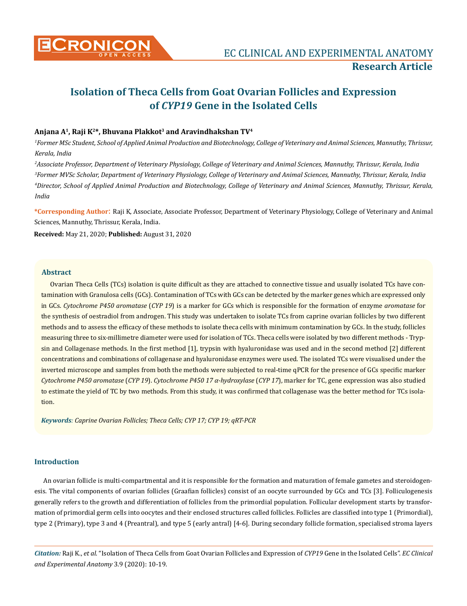

# **Isolation of Theca Cells from Goat Ovarian Follicles and Expression of** *CYP19* **Gene in the Isolated Cells**

# **Anjana A1, Raji K2\*, Bhuvana Plakkot3 and Aravindhakshan TV4**

*1 Former MSc Student, School of Applied Animal Production and Biotechnology, College of Veterinary and Animal Sciences, Mannuthy, Thrissur, Kerala, India*

 *Associate Professor, Department of Veterinary Physiology, College of Veterinary and Animal Sciences, Mannuthy, Thrissur, Kerala, India Former MVSc Scholar, Department of Veterinary Physiology, College of Veterinary and Animal Sciences, Mannuthy, Thrissur, Kerala, India Director, School of Applied Animal Production and Biotechnology, College of Veterinary and Animal Sciences, Mannuthy, Thrissur, Kerala, India*

**\*Corresponding Author**: Raji K, Associate, Associate Professor, Department of Veterinary Physiology, College of Veterinary and Animal Sciences, Mannuthy, Thrissur, Kerala, India.

**Received:** May 21, 2020; **Published:** August 31, 2020

### **Abstract**

Ovarian Theca Cells (TCs) isolation is quite difficult as they are attached to connective tissue and usually isolated TCs have contamination with Granulosa cells (GCs). Contamination of TCs with GCs can be detected by the marker genes which are expressed only in GCs. *Cytochrome P450 aromatase* (*CYP 19*) is a marker for GCs which is responsible for the formation of enzyme *aromatase* for the synthesis of oestradiol from androgen. This study was undertaken to isolate TCs from caprine ovarian follicles by two different methods and to assess the efficacy of these methods to isolate theca cells with minimum contamination by GCs. In the study, follicles measuring three to six-millimetre diameter were used for isolation of TCs. Theca cells were isolated by two different methods - Trypsin and Collagenase methods. In the first method [1], trypsin with hyaluronidase was used and in the second method [2] different concentrations and combinations of collagenase and hyaluronidase enzymes were used. The isolated TCs were visualised under the inverted microscope and samples from both the methods were subjected to real-time qPCR for the presence of GCs specific marker *Cytochrome P450 aromatase* (*CYP 19*). *Cytochrome P450 17 α-hydroxylase* (*CYP 17*), marker for TC, gene expression was also studied to estimate the yield of TC by two methods. From this study, it was confirmed that collagenase was the better method for TCs isolation.

*Keywords: Caprine Ovarian Follicles; Theca Cells; CYP 17; CYP 19; qRT-PCR*

#### **Introduction**

An ovarian follicle is multi-compartmental and it is responsible for the formation and maturation of female gametes and steroidogenesis. The vital components of ovarian follicles (Graafian follicles) consist of an oocyte surrounded by GCs and TCs [3]. Folliculogenesis generally refers to the growth and differentiation of follicles from the primordial population. Follicular development starts by transformation of primordial germ cells into oocytes and their enclosed structures called follicles. Follicles are classified into type 1 (Primordial), type 2 (Primary), type 3 and 4 (Preantral), and type 5 (early antral) [4-6]. During secondary follicle formation, specialised stroma layers

*Citation:* Raji K., *et al*. "Isolation of Theca Cells from Goat Ovarian Follicles and Expression of *CYP19* Gene in the Isolated Cells". *EC Clinical and Experimental Anatomy* 3.9 (2020): 10-19.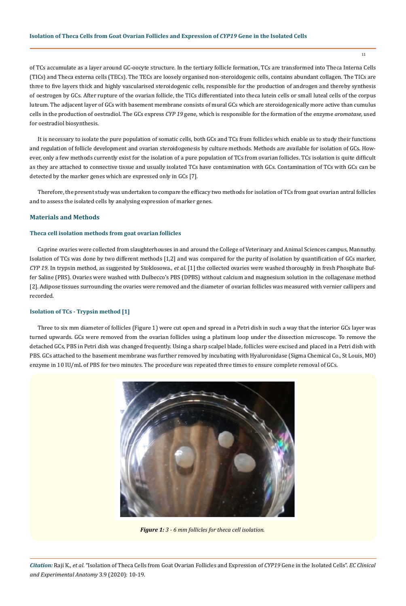## **Isolation of Theca Cells from Goat Ovarian Follicles and Expression of** *CYP19* **Gene in the Isolated Cells**

of TCs accumulate as a layer around GC-oocyte structure. In the tertiary follicle formation, TCs are transformed into Theca Interna Cells (TICs) and Theca externa cells (TECs). The TECs are loosely organised non-steroidogenic cells, contains abundant collagen. The TICs are three to five layers thick and highly vascularised steroidogenic cells, responsible for the production of androgen and thereby synthesis of oestrogen by GCs. After rupture of the ovarian follicle, the TICs differentiated into theca lutein cells or small luteal cells of the corpus luteum. The adjacent layer of GCs with basement membrane consists of mural GCs which are steroidogenically more active than cumulus cells in the production of oestradiol. The GCs express *CYP 19* gene, which is responsible for the formation of the enzyme *aromatase,* used for oestradiol biosynthesis.

It is necessary to isolate the pure population of somatic cells, both GCs and TCs from follicles which enable us to study their functions and regulation of follicle development and ovarian steroidogenesis by culture methods. Methods are available for isolation of GCs. However, only a few methods currently exist for the isolation of a pure population of TCs from ovarian follicles. TCs isolation is quite difficult as they are attached to connective tissue and usually isolated TCs have contamination with GCs. Contamination of TCs with GCs can be detected by the marker genes which are expressed only in GCs [7].

Therefore, the present study was undertaken to compare the efficacy two methods for isolation of TCs from goat ovarian antral follicles and to assess the isolated cells by analysing expression of marker genes.

# **Materials and Methods**

## **Theca cell isolation methods from goat ovarian follicles**

Caprine ovaries were collected from slaughterhouses in and around the College of Veterinary and Animal Sciences campus, Mannuthy. Isolation of TCs was done by two different methods [1,2] and was compared for the purity of isolation by quantification of GCs marker, *CYP 19*. In trypsin method, as suggested by Stoklosowa., *et al*. [1] the collected ovaries were washed thoroughly in fresh Phosphate Buffer Saline (PBS). Ovaries were washed with Dulbecco's PBS (DPBS) without calcium and magnesium solution in the collagenase method [2]. Adipose tissues surrounding the ovaries were removed and the diameter of ovarian follicles was measured with vernier callipers and recorded.

## **Isolation of TCs - Trypsin method [1]**

Three to six mm diameter of follicles (Figure 1) were cut open and spread in a Petri dish in such a way that the interior GCs layer was turned upwards. GCs were removed from the ovarian follicles using a platinum loop under the dissection microscope. To remove the detached GCs, PBS in Petri dish was changed frequently. Using a sharp scalpel blade, follicles were excised and placed in a Petri dish with PBS. GCs attached to the basement membrane was further removed by incubating with Hyaluronidase (Sigma Chemical Co., St Louis, MO) enzyme in 10 IU/mL of PBS for two minutes. The procedure was repeated three times to ensure complete removal of GCs.



*Figure 1: 3 - 6 mm follicles for theca cell isolation.*

*Citation:* Raji K., *et al*. "Isolation of Theca Cells from Goat Ovarian Follicles and Expression of *CYP19* Gene in the Isolated Cells". *EC Clinical and Experimental Anatomy* 3.9 (2020): 10-19.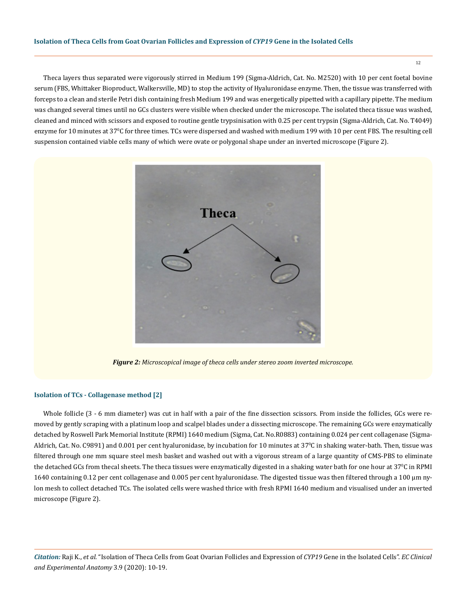Theca layers thus separated were vigorously stirred in Medium 199 (Sigma-Aldrich, Cat. No. M2520) with 10 per cent foetal bovine serum (FBS, Whittaker Bioproduct, Walkersville, MD) to stop the activity of Hyaluronidase enzyme. Then, the tissue was transferred with forceps to a clean and sterile Petri dish containing fresh Medium 199 and was energetically pipetted with a capillary pipette. The medium was changed several times until no GCs clusters were visible when checked under the microscope. The isolated theca tissue was washed, cleaned and minced with scissors and exposed to routine gentle trypsinisation with 0.25 per cent trypsin (Sigma-Aldrich, Cat. No. T4049) enzyme for 10 minutes at 37°C for three times. TCs were dispersed and washed with medium 199 with 10 per cent FBS. The resulting cell suspension contained viable cells many of which were ovate or polygonal shape under an inverted microscope (Figure 2).



*Figure 2: Microscopical image of theca cells under stereo zoom inverted microscope.* 

#### **Isolation of TCs - Collagenase method [2]**

Whole follicle (3 - 6 mm diameter) was cut in half with a pair of the fine dissection scissors. From inside the follicles, GCs were removed by gently scraping with a platinum loop and scalpel blades under a dissecting microscope. The remaining GCs were enzymatically detached by Roswell Park Memorial Institute (RPMI) 1640 medium (Sigma, Cat. No.R0883) containing 0.024 per cent collagenase (Sigma-Aldrich, Cat. No. C9891) and 0.001 per cent hyaluronidase, by incubation for 10 minutes at 37ºC in shaking water-bath. Then, tissue was filtered through one mm square steel mesh basket and washed out with a vigorous stream of a large quantity of CMS-PBS to eliminate the detached GCs from thecal sheets. The theca tissues were enzymatically digested in a shaking water bath for one hour at 37°C in RPMI 1640 containing 0.12 per cent collagenase and 0.005 per cent hyaluronidase. The digested tissue was then filtered through a 100 µm nylon mesh to collect detached TCs. The isolated cells were washed thrice with fresh RPMI 1640 medium and visualised under an inverted microscope (Figure 2).

*Citation:* Raji K., *et al*. "Isolation of Theca Cells from Goat Ovarian Follicles and Expression of *CYP19* Gene in the Isolated Cells". *EC Clinical and Experimental Anatomy* 3.9 (2020): 10-19.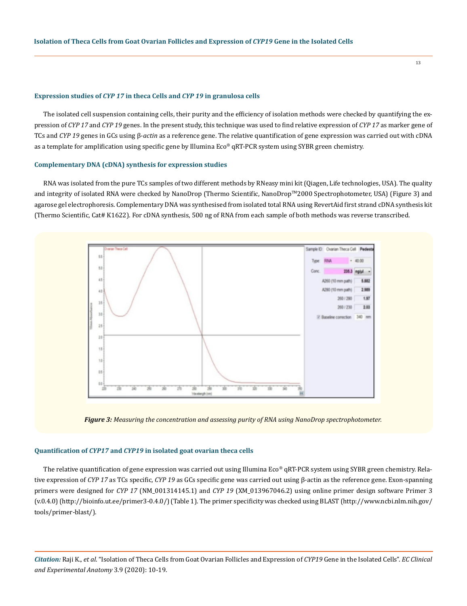#### **Expression studies of** *CYP 17* **in theca Cells and** *CYP 19* **in granulosa cells**

The isolated cell suspension containing cells, their purity and the efficiency of isolation methods were checked by quantifying the expression of *CYP 17* and *CYP 19* genes. In the present study, this technique was used to find relative expression of *CYP 17* as marker gene of TCs and *CYP 19* genes in GCs using β-*actin* as a reference gene. The relative quantification of gene expression was carried out with cDNA as a template for amplification using specific gene by Illumina Eco® qRT-PCR system using SYBR green chemistry.

#### **Complementary DNA (cDNA) synthesis for expression studies**

RNA was isolated from the pure TCs samples of two different methods by RNeasy mini kit (Qiagen, Life technologies, USA). The quality and integrity of isolated RNA were checked by NanoDrop (Thermo Scientific, NanoDrop™2000 Spectrophotometer, USA) (Figure 3) and agarose gel electrophoresis. Complementary DNA was synthesised from isolated total RNA using RevertAid first strand cDNA synthesis kit (Thermo Scientific, Cat# K1622). For cDNA synthesis, 500 ng of RNA from each sample of both methods was reverse transcribed.





### **Quantification of** *CYP17* **and** *CYP19* **in isolated goat ovarian theca cells**

The relative quantification of gene expression was carried out using Illumina Eco® qRT-PCR system using SYBR green chemistry. Relative expression of *CYP 17* as TCs specific, *CYP 19* as GCs specific gene was carried out using β-actin as the reference gene. Exon-spanning primers were designed for *CYP 17* (NM\_001314145.1) and *CYP 19* (XM\_013967046.2) using online primer design software Primer 3 (v.0.4.0) (http://bioinfo.ut.ee/primer3-0.4.0/) (Table 1). The primer specificity was checked using BLAST [\(http://www.ncbi.nlm.nih.gov/](http://www.ncbi.nlm.nih.gov/tools/primer-blast/) [tools/primer-blast/](http://www.ncbi.nlm.nih.gov/tools/primer-blast/)).

*Citation:* Raji K., *et al*. "Isolation of Theca Cells from Goat Ovarian Follicles and Expression of *CYP19* Gene in the Isolated Cells". *EC Clinical and Experimental Anatomy* 3.9 (2020): 10-19.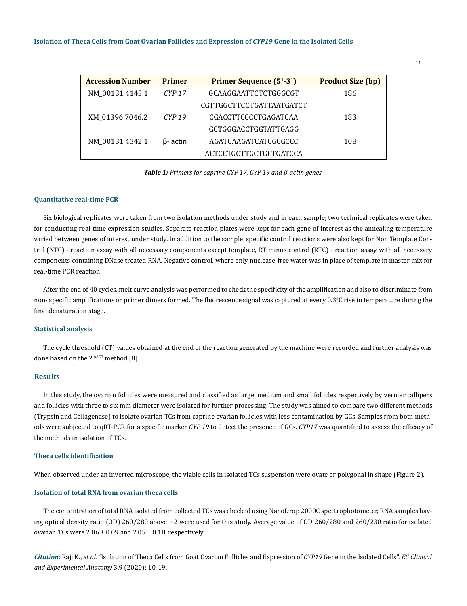### **Isolation of Theca Cells from Goat Ovarian Follicles and Expression of** *CYP19* **Gene in the Isolated Cells**

| <b>Accession Number</b> | <b>Primer</b>   | Primer Sequence (5 <sup>1</sup> -3 <sup>1</sup> ) | <b>Product Size (bp)</b> |
|-------------------------|-----------------|---------------------------------------------------|--------------------------|
| NM_00131 4145.1         | $CYP$ 17        | GCAAGGAATTCTCTGGGCGT                              | 186                      |
|                         |                 | CGTTGGCTTCCTGATTAATGATCT                          |                          |
| XM 01396 7046.2         | $CYP$ 19        | CGACCTTCCCCTGAGATCAA                              | 183                      |
|                         |                 | GCTGGGACCTGGTATTGAGG                              |                          |
| NM_00131 4342.1         | $\beta$ - actin | AGATCAAGATCATCGCGCCC                              | 108                      |
|                         |                 | ACTCCTGCTTGCTGCTGATCCA                            |                          |

*Table 1: Primers for caprine CYP 17, CYP 19 and β-actin genes.*

## **Quantitative real-time PCR**

Six biological replicates were taken from two isolation methods under study and in each sample; two technical replicates were taken for conducting real-time expression studies. Separate reaction plates were kept for each gene of interest as the annealing temperature varied between genes of interest under study. In addition to the sample, specific control reactions were also kept for Non Template Control (NTC) - reaction assay with all necessary components except template, RT minus control (RTC) - reaction assay with all necessary components containing DNase treated RNA, Negative control, where only nuclease-free water was in place of template in master mix for real-time PCR reaction.

After the end of 40 cycles, melt curve analysis was performed to check the specificity of the amplification and also to discriminate from non- specific amplifications or primer dimers formed. The fluorescence signal was captured at every 0.3ºC rise in temperature during the final denaturation stage.

## **Statistical analysis**

The cycle threshold (CT) values obtained at the end of the reaction generated by the machine were recorded and further analysis was done based on the 2<sup>-ΔΔCT</sup> method [8].

## **Results**

In this study, the ovarian follicles were measured and classified as large, medium and small follicles respectively by vernier callipers and follicles with three to six mm diameter were isolated for further processing. The study was aimed to compare two different methods (Trypsin and Collagenase) to isolate ovarian TCs from caprine ovarian follicles with less contamination by GCs. Samples from both methods were subjected to qRT-PCR for a specific marker *CYP 19* to detect the presence of GCs. *CYP17* was quantified to assess the efficacy of the methods in isolation of TCs.

## **Theca cells identification**

When observed under an inverted microscope, the viable cells in isolated TCs suspension were ovate or polygonal in shape (Figure 2).

#### **Isolation of total RNA from ovarian theca cells**

The concentration of total RNA isolated from collected TCs was checked using NanoDrop 2000C spectrophotometer, RNA samples having optical density ratio (OD) 260/280 above ~2 were used for this study. Average value of OD 260/280 and 260/230 ratio for isolated ovarian TCs were  $2.06 \pm 0.09$  and  $2.05 \pm 0.18$ , respectively.

*Citation:* Raji K., *et al*. "Isolation of Theca Cells from Goat Ovarian Follicles and Expression of *CYP19* Gene in the Isolated Cells". *EC Clinical and Experimental Anatomy* 3.9 (2020): 10-19.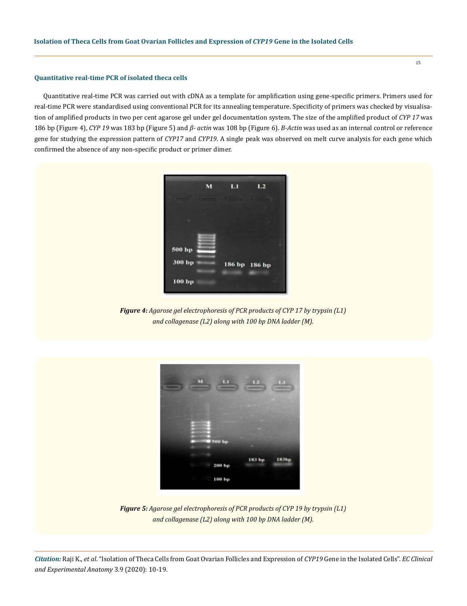## **Quantitative real-time PCR of isolated theca cells**

Quantitative real-time PCR was carried out with cDNA as a template for amplification using gene-specific primers. Primers used for real-time PCR were standardised using conventional PCR for its annealing temperature. Specificity of primers was checked by visualisation of amplified products in two per cent agarose gel under gel documentation system. The size of the amplified product of *CYP 17* was 186 bp (Figure 4), *CYP 19* was 183 bp (Figure 5) and *β- actin* was 108 bp (Figure 6). *Β-Actin* was used as an internal control or reference gene for studying the expression pattern of *CYP17* and *CYP19*. A single peak was observed on melt curve analysis for each gene which confirmed the absence of any non-specific product or primer dimer.



*Figure 4: Agarose gel electrophoresis of PCR products of CYP 17 by trypsin (L1) and collagenase (L2) along with 100 bp DNA ladder (M).*



*Figure 5: Agarose gel electrophoresis of PCR products of CYP 19 by trypsin (L1) and collagenase (L2) along with 100 bp DNA ladder (M).*

*Citation:* Raji K., *et al*. "Isolation of Theca Cells from Goat Ovarian Follicles and Expression of *CYP19* Gene in the Isolated Cells". *EC Clinical and Experimental Anatomy* 3.9 (2020): 10-19.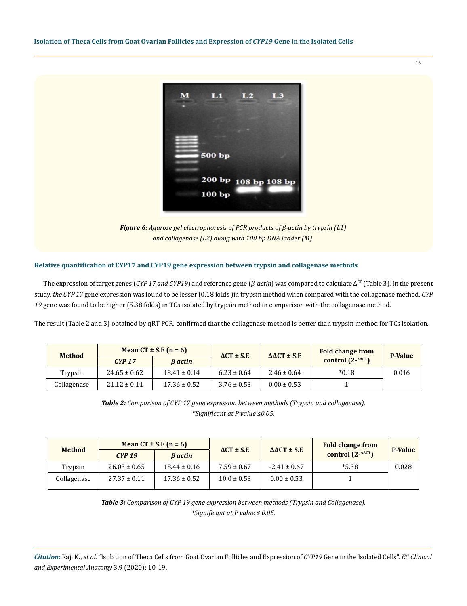

*Figure 6: Agarose gel electrophoresis of PCR products of β-actin by trypsin (L1) and collagenase (L2) along with 100 bp DNA ladder (M).*

# **Relative quantification of CYP17 and CYP19 gene expression between trypsin and collagenase methods**

The expression of target genes (*CYP 17 and CYP19*) and reference gene (*β-actin*) was compared to calculate Δ<sup>cr</sup> (Table 3). In the present study, *the CYP 17* gene expression was found to be lesser (0.18 folds )in trypsin method when compared with the collagenase method. *CYP 19* gene was found to be higher (5.38 folds) in TCs isolated by trypsin method in comparison with the collagenase method.

The result (Table 2 and 3) obtained by qRT-PCR, confirmed that the collagenase method is better than trypsin method for TCs isolation.

|               | Mean $CT \pm S.E$ (n = 6) |                  |                     |                            | <b>Fold change from</b>                |                |
|---------------|---------------------------|------------------|---------------------|----------------------------|----------------------------------------|----------------|
| <b>Method</b> | $CYP$ 17                  | $\beta$ actin    | $\Delta CT \pm S.E$ | $\Delta \Delta CT \pm S.E$ | control $(2 - \triangle^{\Delta} C T)$ | <b>P-Value</b> |
| Trypsin       | $24.65 \pm 0.62$          | $18.41 \pm 0.14$ | $6.23 \pm 0.64$     | $2.46 \pm 0.64$            | $*0.18$                                | 0.016          |
| Collagenase   | $21.12 \pm 0.11$          | $17.36 \pm 0.52$ | $3.76 \pm 0.53$     | $0.00 \pm 0.53$            |                                        |                |

*Table 2: Comparison of CYP 17 gene expression between methods (Trypsin and collagenase). \*Significant at P value ≤0.05.*

| <b>Method</b> | Mean $CT \pm S.E$ (n = 6) |                       |                     |                            | <b>Fold change from</b>           |                |
|---------------|---------------------------|-----------------------|---------------------|----------------------------|-----------------------------------|----------------|
|               | $CYP$ 19                  | <b><i>B</i></b> actin | $\Delta CT \pm S.E$ | $\Delta \Delta CT \pm S.E$ | control $(2 - \Delta \Delta C T)$ | <b>P-Value</b> |
| Trypsin       | $26.03 \pm 0.65$          | $18.44 \pm 0.16$      | $7.59 \pm 0.67$     | $-2.41 \pm 0.67$           | $*5.38$                           | 0.028          |
| Collagenase   | $27.37 \pm 0.11$          | $17.36 \pm 0.52$      | $10.0 \pm 0.53$     | $0.00 \pm 0.53$            |                                   |                |

*Table 3: Comparison of CYP 19 gene expression between methods (Trypsin and Collagenase). \*Significant at P value ≤ 0.05.*

*Citation:* Raji K., *et al*. "Isolation of Theca Cells from Goat Ovarian Follicles and Expression of *CYP19* Gene in the Isolated Cells". *EC Clinical and Experimental Anatomy* 3.9 (2020): 10-19.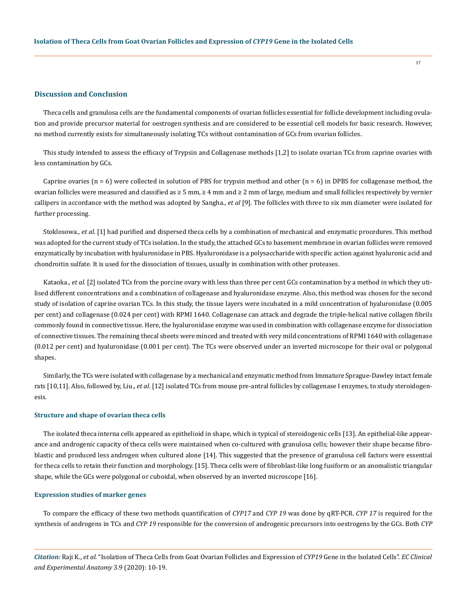## **Discussion and Conclusion**

Theca cells and granulosa cells are the fundamental components of ovarian follicles essential for follicle development including ovulation and provide precursor material for oestrogen synthesis and are considered to be essential cell models for basic research. However, no method currently exists for simultaneously isolating TCs without contamination of GCs from ovarian follicles.

17

This study intended to assess the efficacy of Trypsin and Collagenase methods [1,2] to isolate ovarian TCs from caprine ovaries with less contamination by GCs.

Caprine ovaries ( $n = 6$ ) were collected in solution of PBS for trypsin method and other ( $n = 6$ ) in DPBS for collagenase method, the ovarian follicles were measured and classified as  $\geq 5$  mm,  $\geq 4$  mm and  $\geq 2$  mm of large, medium and small follicles respectively by vernier callipers in accordance with the method was adopted by Sangha., *et al* [9]. The follicles with three to six mm diameter were isolated for further processing.

Stoklosowa., *et al.* [1] had purified and dispersed theca cells by a combination of mechanical and enzymatic procedures. This method was adopted for the current study of TCs isolation. In the study, the attached GCs to basement membrane in ovarian follicles were removed enzymatically by incubation with hyaluronidase in PBS. Hyaluronidase is a polysaccharide with specific action against hyaluronic acid and chondroitin sulfate. It is used for the dissociation of tissues, usually in combination with other proteases.

Kataoka., *et al.* [2] isolated TCs from the porcine ovary with less than three per cent GCs contamination by a method in which they utilised different concentrations and a combination of collagenase and hyaluronidase enzyme. Also, this method was chosen for the second study of isolation of caprine ovarian TCs. In this study, the tissue layers were incubated in a mild concentration of hyaluronidase (0.005 per cent) and collagenase (0.024 per cent) with RPMI 1640. Collagenase can attack and degrade the triple-helical native collagen fibrils commonly found in connective tissue. Here, the hyaluronidase enzyme was used in combination with collagenase enzyme for dissociation of connective tissues. The remaining thecal sheets were minced and treated with very mild concentrations of RPMI 1640 with collagenase (0.012 per cent) and hyaluronidase (0.001 per cent). The TCs were observed under an inverted microscope for their oval or polygonal shapes.

Similarly, the TCs were isolated with collagenase by a mechanical and enzymatic method from Immature Sprague-Dawley intact female rats [10,11]. Also, followed by, Liu., *et al*. [12] isolated TCs from mouse pre-antral follicles by collagenase I enzymes, to study steroidogenesis.

#### **Structure and shape of ovarian theca cells**

The isolated theca interna cells appeared as epithelioid in shape, which is typical of steroidogenic cells [13]. An epithelial-like appearance and androgenic capacity of theca cells were maintained when co-cultured with granulosa cells; however their shape became fibroblastic and produced less androgen when cultured alone [14]. This suggested that the presence of granulosa cell factors were essential for theca cells to retain their function and morphology. [15]. Theca cells were of fibroblast-like long fusiform or an anomalistic triangular shape, while the GCs were polygonal or cuboidal, when observed by an inverted microscope [16].

### **Expression studies of marker genes**

To compare the efficacy of these two methods quantification of *CYP17* and *CYP 19* was done by qRT-PCR. *CYP 17* is required for the synthesis of androgens in TCs and *CYP 19* responsible for the conversion of androgenic precursors into oestrogens by the GCs. Both *CYP* 

*Citation:* Raji K., *et al*. "Isolation of Theca Cells from Goat Ovarian Follicles and Expression of *CYP19* Gene in the Isolated Cells". *EC Clinical and Experimental Anatomy* 3.9 (2020): 10-19.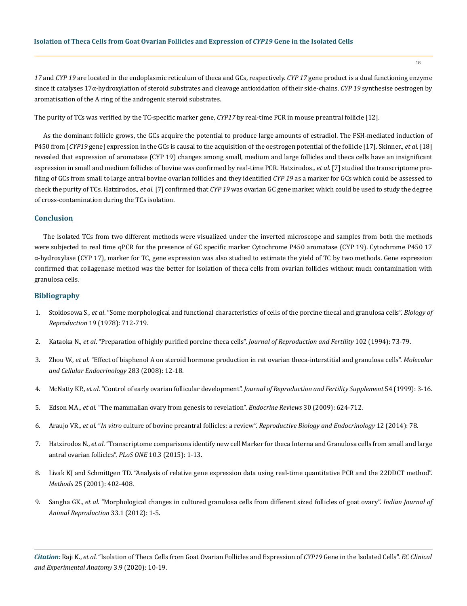*17* and *CYP 19* are located in the endoplasmic reticulum of theca and GCs, respectively. *CYP 17* gene product is a dual functioning enzyme since it catalyses 17α-hydroxylation of steroid substrates and cleavage antioxidation of their side-chains. *CYP 19* synthesise oestrogen by aromatisation of the A ring of the androgenic steroid substrates.

The purity of TCs was verified by the TC-specific marker gene, *CYP17* by real-time PCR in mouse preantral follicle [12].

As the dominant follicle grows, the GCs acquire the potential to produce large amounts of estradiol. The FSH-mediated induction of P450 from (*CYP19* gene) expression in the GCs is causal to the acquisition of the oestrogen potential of the follicle [17]. Skinner., *et al*. [18] revealed that expression of aromatase (CYP 19) changes among small, medium and large follicles and theca cells have an insignificant expression in small and medium follicles of bovine was confirmed by real-time PCR. Hatzirodos., *et al.* [7] studied the transcriptome profiling of GCs from small to large antral bovine ovarian follicles and they identified *CYP 19* as a marker for GCs which could be assessed to check the purity of TCs. Hatzirodos., *et al.* [7] confirmed that *CYP 19* was ovarian GC gene marker, which could be used to study the degree of cross-contamination during the TCs isolation.

# **Conclusion**

The isolated TCs from two different methods were visualized under the inverted microscope and samples from both the methods were subjected to real time qPCR for the presence of GC specific marker Cytochrome P450 aromatase (CYP 19). Cytochrome P450 17 α-hydroxylase (CYP 17), marker for TC, gene expression was also studied to estimate the yield of TC by two methods. Gene expression confirmed that collagenase method was the better for isolation of theca cells from ovarian follicles without much contamination with granulosa cells.

## **Bibliography**

- 1. Stoklosowa S., *et al*[. "Some morphological and functional characteristics of cells of the porcine thecal and granulosa cells".](https://academic.oup.com/biolreprod/article/19/4/712/2767650) *Biology of Reproduction* [19 \(1978\): 712-719.](https://academic.oup.com/biolreprod/article/19/4/712/2767650)
- 2. Kataoka N., *et al*[. "Preparation of highly purified porcine theca cells".](https://rep.bioscientifica.com/view/journals/rep/102/1/jrf_102_1_010.xml) *Journal of Reproduction and Fertility* 102 (1994): 73-79.
- 3. Zhou W., *et al*[. "Effect of bisphenol A on steroid hormone production in rat ovarian theca-interstitial and granulosa cells".](https://europepmc.org/article/med/18191889) *Molecular [and Cellular Endocrinology](https://europepmc.org/article/med/18191889)* 283 (2008): 12-18.
- 4. McNatty KP., *et al*. "Control of early ovarian follicular development". *[Journal of Reproduction and Fertility Supplement](https://pubmed.ncbi.nlm.nih.gov/10692841/)* 54 (1999): 3-16.
- 5. Edson MA., *et al*[. "The mammalian ovary from genesis to revelation".](https://academic.oup.com/edrv/article/30/6/624/2355078) *Endocrine Reviews* 30 (2009): 624-712.
- 6. Araujo VR., *et al*. "*In vitro* [culture of bovine preantral follicles: a review".](https://pubmed.ncbi.nlm.nih.gov/25117631/) *Reproductive Biology and Endocrinology* 12 (2014): 78.
- 7. Hatzirodos N., *et al*[. "Transcriptome comparisons identify new cell Marker for theca Interna and Granulosa cells from small and large](https://journals.plos.org/plosone/article/comments?id=10.1371/journal.pone.0119800)  [antral ovarian follicles".](https://journals.plos.org/plosone/article/comments?id=10.1371/journal.pone.0119800) *PLoS ONE* 10.3 (2015): 1-13.
- 8. [Livak KJ and Schmittgen TD. "Analysis of relative gene expression data using real-time quantitative PCR and the 22DDCT method".](http://www.gene-quantification.net/livak-2001.pdf)  *Methods* [25 \(2001\): 402-408.](http://www.gene-quantification.net/livak-2001.pdf)
- 9. Sangha GK., *et al*[. "Morphological changes in cultured granulosa cells from different sized follicles of goat ovary".](http://citeseerx.ist.psu.edu/viewdoc/download?doi=10.1.1.879.6101&rep=rep1&type=pdf) *Indian Journal of [Animal Reproduction](http://citeseerx.ist.psu.edu/viewdoc/download?doi=10.1.1.879.6101&rep=rep1&type=pdf)* 33.1 (2012): 1-5.

*Citation:* Raji K., *et al*. "Isolation of Theca Cells from Goat Ovarian Follicles and Expression of *CYP19* Gene in the Isolated Cells". *EC Clinical and Experimental Anatomy* 3.9 (2020): 10-19.